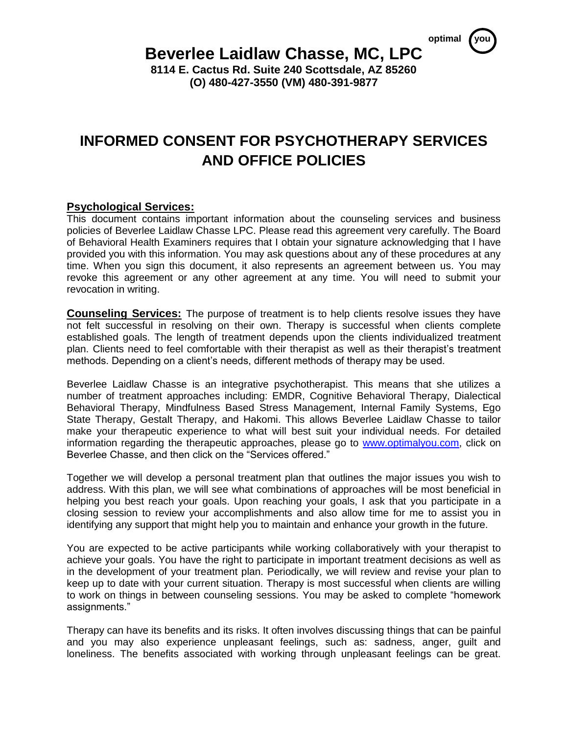*<u>optimal</u>* 

## **Beverlee Laidlaw Chasse, MC, LPC**

**8114 E. Cactus Rd. Suite 240 Scottsdale, AZ 85260 (O) 480-427-3550 (VM) 480-391-9877**

# **INFORMED CONSENT FOR PSYCHOTHERAPY SERVICES AND OFFICE POLICIES**

### **Psychological Services:**

This document contains important information about the counseling services and business policies of Beverlee Laidlaw Chasse LPC. Please read this agreement very carefully. The Board of Behavioral Health Examiners requires that I obtain your signature acknowledging that I have provided you with this information. You may ask questions about any of these procedures at any time. When you sign this document, it also represents an agreement between us. You may revoke this agreement or any other agreement at any time. You will need to submit your revocation in writing.

**Counseling Services:** The purpose of treatment is to help clients resolve issues they have not felt successful in resolving on their own. Therapy is successful when clients complete established goals. The length of treatment depends upon the clients individualized treatment plan. Clients need to feel comfortable with their therapist as well as their therapist's treatment methods. Depending on a client's needs, different methods of therapy may be used.

Beverlee Laidlaw Chasse is an integrative psychotherapist. This means that she utilizes a number of treatment approaches including: EMDR, Cognitive Behavioral Therapy, Dialectical Behavioral Therapy, Mindfulness Based Stress Management, Internal Family Systems, Ego State Therapy, Gestalt Therapy, and Hakomi. This allows Beverlee Laidlaw Chasse to tailor make your therapeutic experience to what will best suit your individual needs. For detailed information regarding the therapeutic approaches, please go to [www.optimalyou.com,](http://www.optimalyou.com/) click on Beverlee Chasse, and then click on the "Services offered."

Together we will develop a personal treatment plan that outlines the major issues you wish to address. With this plan, we will see what combinations of approaches will be most beneficial in helping you best reach your goals. Upon reaching your goals, I ask that you participate in a closing session to review your accomplishments and also allow time for me to assist you in identifying any support that might help you to maintain and enhance your growth in the future.

You are expected to be active participants while working collaboratively with your therapist to achieve your goals. You have the right to participate in important treatment decisions as well as in the development of your treatment plan. Periodically, we will review and revise your plan to keep up to date with your current situation. Therapy is most successful when clients are willing to work on things in between counseling sessions. You may be asked to complete "homework assignments."

Therapy can have its benefits and its risks. It often involves discussing things that can be painful and you may also experience unpleasant feelings, such as: sadness, anger, guilt and loneliness. The benefits associated with working through unpleasant feelings can be great.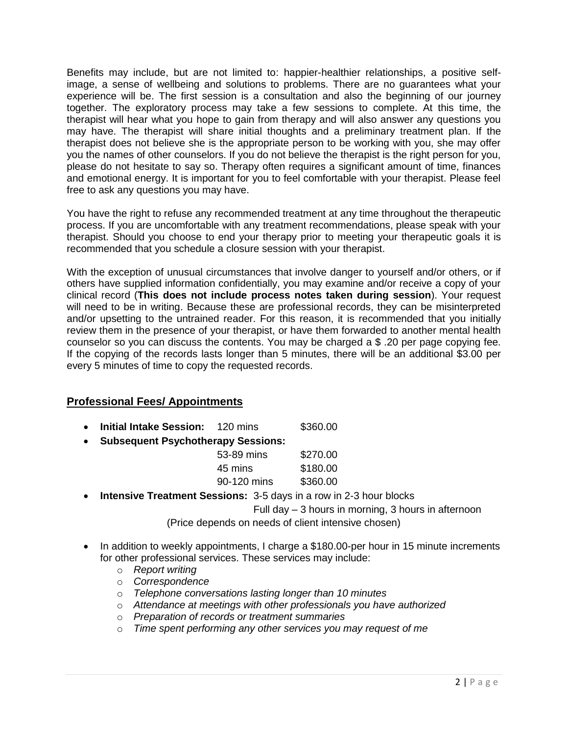Benefits may include, but are not limited to: happier-healthier relationships, a positive selfimage, a sense of wellbeing and solutions to problems. There are no guarantees what your experience will be. The first session is a consultation and also the beginning of our journey together. The exploratory process may take a few sessions to complete. At this time, the therapist will hear what you hope to gain from therapy and will also answer any questions you may have. The therapist will share initial thoughts and a preliminary treatment plan. If the therapist does not believe she is the appropriate person to be working with you, she may offer you the names of other counselors. If you do not believe the therapist is the right person for you, please do not hesitate to say so. Therapy often requires a significant amount of time, finances and emotional energy. It is important for you to feel comfortable with your therapist. Please feel free to ask any questions you may have.

You have the right to refuse any recommended treatment at any time throughout the therapeutic process. If you are uncomfortable with any treatment recommendations, please speak with your therapist. Should you choose to end your therapy prior to meeting your therapeutic goals it is recommended that you schedule a closure session with your therapist.

With the exception of unusual circumstances that involve danger to yourself and/or others, or if others have supplied information confidentially, you may examine and/or receive a copy of your clinical record (**This does not include process notes taken during session**). Your request will need to be in writing. Because these are professional records, they can be misinterpreted and/or upsetting to the untrained reader. For this reason, it is recommended that you initially review them in the presence of your therapist, or have them forwarded to another mental health counselor so you can discuss the contents. You may be charged a \$ .20 per page copying fee. If the copying of the records lasts longer than 5 minutes, there will be an additional \$3.00 per every 5 minutes of time to copy the requested records.

## **Professional Fees/ Appointments**

- **Initial Intake Session:** 120 mins \$360.00
- **Subsequent Psychotherapy Sessions:**

| 53-89 mins  | \$270.00 |
|-------------|----------|
| 45 mins     | \$180.00 |
| 90-120 mins | \$360.00 |

**Intensive Treatment Sessions:** 3-5 days in a row in 2-3 hour blocks

Full day – 3 hours in morning, 3 hours in afternoon

(Price depends on needs of client intensive chosen)

- In addition to weekly appointments, I charge a \$180.00-per hour in 15 minute increments for other professional services. These services may include:
	- o *Report writing*
	- o *Correspondence*
	- o *Telephone conversations lasting longer than 10 minutes*
	- o *Attendance at meetings with other professionals you have authorized*
	- o *Preparation of records or treatment summaries*
	- o *Time spent performing any other services you may request of me*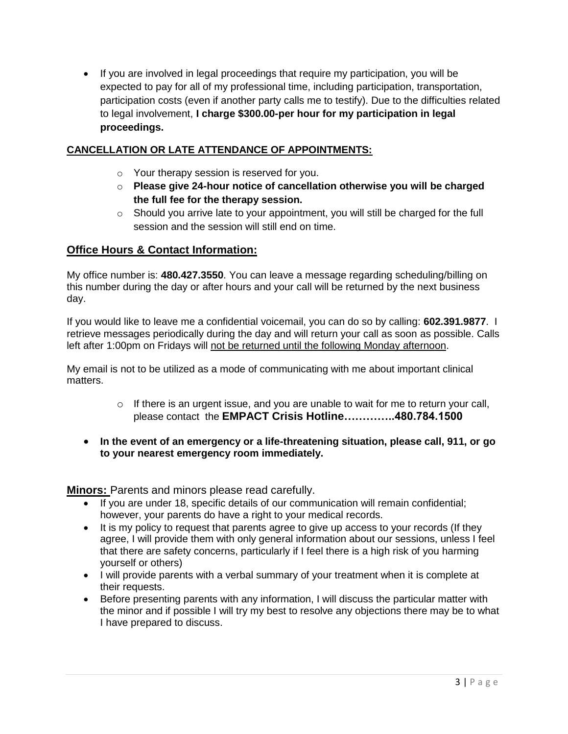• If you are involved in legal proceedings that require my participation, you will be expected to pay for all of my professional time, including participation, transportation, participation costs (even if another party calls me to testify). Due to the difficulties related to legal involvement, **I charge \$300.00-per hour for my participation in legal proceedings.**

## **CANCELLATION OR LATE ATTENDANCE OF APPOINTMENTS:**

- o Your therapy session is reserved for you.
- o **Please give 24-hour notice of cancellation otherwise you will be charged the full fee for the therapy session.**
- o Should you arrive late to your appointment, you will still be charged for the full session and the session will still end on time.

### **Office Hours & Contact Information:**

My office number is: **480.427.3550**. You can leave a message regarding scheduling/billing on this number during the day or after hours and your call will be returned by the next business day.

If you would like to leave me a confidential voicemail, you can do so by calling: **602.391.9877**. I retrieve messages periodically during the day and will return your call as soon as possible. Calls left after 1:00pm on Fridays will not be returned until the following Monday afternoon.

My email is not to be utilized as a mode of communicating with me about important clinical matters.

- o If there is an urgent issue, and you are unable to wait for me to return your call, please contact the **EMPACT Crisis Hotline…………..480.784.1500**
- **In the event of an emergency or a life-threatening situation, please call, 911, or go to your nearest emergency room immediately.**

**Minors:** Parents and minors please read carefully.

- If you are under 18, specific details of our communication will remain confidential; however, your parents do have a right to your medical records.
- It is my policy to request that parents agree to give up access to your records (If they agree, I will provide them with only general information about our sessions, unless I feel that there are safety concerns, particularly if I feel there is a high risk of you harming yourself or others)
- I will provide parents with a verbal summary of your treatment when it is complete at their requests.
- Before presenting parents with any information, I will discuss the particular matter with the minor and if possible I will try my best to resolve any objections there may be to what I have prepared to discuss.